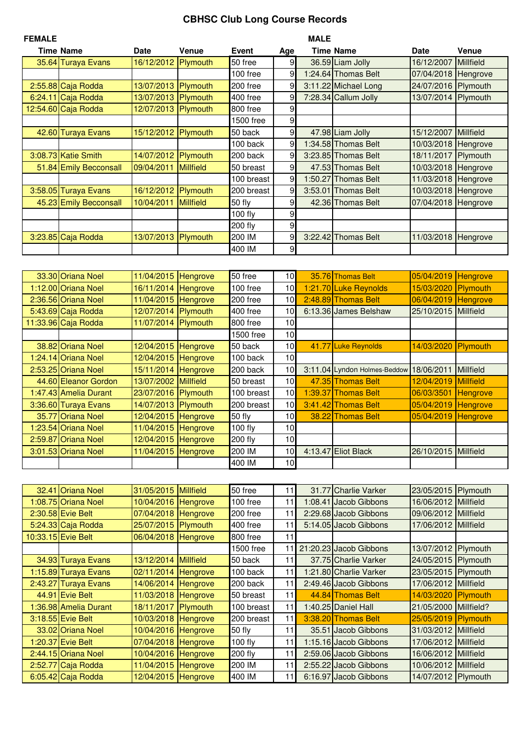## **CBHSC Club Long Course Records**

| <b>FEMALE</b> |                        |                     |                  |            |     | MALE    |                      |            |                  |
|---------------|------------------------|---------------------|------------------|------------|-----|---------|----------------------|------------|------------------|
|               | Time Name              | <b>Date</b>         | Venue            | Event      | Age |         | <b>Time Name</b>     | Date       | Venue            |
|               | 35.64 Turaya Evans     | 16/12/2012 Plymouth |                  | 50 free    | 9   |         | 36.59 Liam Jolly     | 16/12/2007 | Millfield        |
|               |                        |                     |                  | $100$ free | 9   |         | 1:24.64 Thomas Belt  | 07/04/2018 | Hengrove         |
|               | 2:55.88 Caja Rodda     | 13/07/2013          | Plymouth         | 200 free   | 9   |         | 3:11.22 Michael Long | 24/07/2016 | Plymouth         |
|               | 6:24.11 Caja Rodda     | 13/07/2013 Plymouth |                  | 400 free   | 9   |         | 7:28.34 Callum Jolly | 13/07/2014 | Plymouth         |
|               | 12:54.60 Caja Rodda    | 12/07/2013 Plymouth |                  | 800 free   | 9   |         |                      |            |                  |
|               |                        |                     |                  | 1500 free  | 9   |         |                      |            |                  |
|               | 42.60 Turaya Evans     | 15/12/2012 Plymouth |                  | 50 back    | 9   |         | 47.98 Liam Jolly     | 15/12/2007 | <b>Millfield</b> |
|               |                        |                     |                  | 100 back   | 9   |         | 1:34.58 Thomas Belt  | 10/03/2018 | Hengrove         |
|               | 3:08.73 Katie Smith    | 14/07/2012          | Plymouth         | 200 back   | 9   |         | 3:23.85 Thomas Belt  | 18/11/2017 | Plymouth         |
|               | 51.84 Emily Becconsall | 09/04/2011          | <b>Millfield</b> | 50 breast  | 9   |         | 47.53 Thomas Belt    | 10/03/2018 | Hengrove         |
|               |                        |                     |                  | 100 breast | 9   | 1:50.27 | <b>Thomas Belt</b>   | 11/03/2018 | Hengrove         |
|               | 3:58.05 Turaya Evans   | 16/12/2012          | Plymouth         | 200 breast | 9   | 3:53.01 | <b>Thomas Belt</b>   | 10/03/2018 | Hengrove         |
|               | 45.23 Emily Becconsall | 10/04/2011          | <b>Millfield</b> | 50 fly     | 9   |         | 42.36 Thomas Belt    | 07/04/2018 | Hengrove         |
|               |                        |                     |                  | $100$ fly  | 9   |         |                      |            |                  |
|               |                        |                     |                  | 200 fly    | 9   |         |                      |            |                  |
|               | 3:23.85 Caja Rodda     | 13/07/2013          | Plymouth         | 200 IM     | 9   |         | 3:22.42 Thomas Belt  | 11/03/2018 | Hengrove         |
|               |                        |                     |                  | 400 IM     | 9   |         |                      |            |                  |
|               |                        |                     |                  |            |     |         |                      |            |                  |

| 33.30 Oriana Noel     | 11/04/2015 Hengrove  |          | 50 free    | 10              | 35.76 Thomas Belt                       | 05/04/2019 | Hengrove         |
|-----------------------|----------------------|----------|------------|-----------------|-----------------------------------------|------------|------------------|
| 1:12.00 Oriana Noel   | 16/11/2014 Hengrove  |          | 100 free   | 10              | 1:21.70 Luke Reynolds                   | 15/03/2020 | Plymouth         |
| 2:36.56 Oriana Noel   | 11/04/2015 Hengrove  |          | 200 free   | 10 <sup>1</sup> | 2:48.89 Thomas Belt                     | 06/04/2019 | Hengrove         |
| 5:43.69 Caja Rodda    | 12/07/2014 Plymouth  |          | 400 free   | 10              | 6:13.36 James Belshaw                   | 25/10/2015 | <b>Millfield</b> |
| 11:33.96 Caja Rodda   | 11/07/2014 Plymouth  |          | 800 free   | 10              |                                         |            |                  |
|                       |                      |          | 1500 free  | 10 <sup>1</sup> |                                         |            |                  |
| 38.82 Oriana Noel     | 12/04/2015 Hengrove  |          | 50 back    | 10              | 41.77 Luke Reynolds                     | 14/03/2020 | Plymouth         |
| 1:24.14 Oriana Noel   | 12/04/2015 Hengrove  |          | 100 back   | 10 <sup>1</sup> |                                         |            |                  |
| 2:53.25 Oriana Noel   | 15/11/2014 Hengrove  |          | 200 back   | 10              | 3:11.04 Lyndon Holmes-Beddow 18/06/2011 |            | <b>Millfield</b> |
| 44.60 Eleanor Gordon  | 13/07/2002 Millfield |          | 50 breast  | 10 <sup>1</sup> | 47.35 Thomas Belt                       | 12/04/2019 | Millfield        |
| 1:47.43 Amelia Durant | 23/07/2016 Plymouth  |          | 100 breast | 10 <sup>1</sup> | 1:39.37 Thomas Belt                     | 06/03/3501 | Hengrove         |
| 3:36.60 Turaya Evans  | 14/07/2013 Plymouth  |          | 200 breast | 10 <sup>1</sup> | 3:41.42 Thomas Belt                     | 05/04/2019 | Hengrove         |
| 35.77 Oriana Noel     | 12/04/2015 Hengrove  |          | 50 fly     | 10 <sup>1</sup> | 38.22 Thomas Belt                       | 05/04/2019 | Hengrove         |
| 1:23.54 Oriana Noel   | 11/04/2015 Hengrove  |          | 100 fly    | 10              |                                         |            |                  |
| 2:59.87 Oriana Noel   | 12/04/2015           | Hengrove | 200 fly    | 10              |                                         |            |                  |
| 3:01.53 Oriana Noel   | 11/04/2015 Hengrove  |          | 200 IM     | 10              | 4:13.47 Eliot Black                     | 26/10/2015 | <b>Millfield</b> |
|                       |                      |          | 400 IM     | 10              |                                         |            |                  |

| 32.41 Oriana Noel     | 31/05/2015 Millfield |                  | 50 free    | 11  | 31.77 Charlie Varker   | 23/05/2015           | Plymouth          |
|-----------------------|----------------------|------------------|------------|-----|------------------------|----------------------|-------------------|
| 1:08.75 Oriana Noel   | 10/04/2016 Hengrove  |                  | 100 free   | 11  | 1:08.41 Jacob Gibbons  | 16/06/2012           | <b>Millfield</b>  |
| 2:30.58 Evie Belt     | 07/04/2018           | <b>Hengrove</b>  | 200 free   | 11  | 2:29.68 Jacob Gibbons  | 09/06/2012           | <b>Millfield</b>  |
| 5:24.33 Caja Rodda    | 25/07/2015 Plymouth  |                  | 400 free   | 11  | 5:14.05 Jacob Gibbons  | 17/06/2012           | <b>Millfield</b>  |
| 10:33.15 Evie Belt    | 06/04/2018           | Hengrove         | 800 free   | 11  |                        |                      |                   |
|                       |                      |                  | 1500 free  | 111 | 21:20.23 Jacob Gibbons | 13/07/2012           | Plymouth          |
| 34.93 Turaya Evans    | 13/12/2014           | <b>Millfield</b> | 50 back    | 11  | 37.75 Charlie Varker   | 24/05/2015 Plymouth  |                   |
| 1:15.89 Turaya Evans  | 02/11/2014           | <b>Hengrove</b>  | 100 back   | 11  | 1:21.80 Charlie Varker | 23/05/2015 Plymouth  |                   |
| 2:43.27 Turaya Evans  | 14/06/2014           | Hengrove         | 200 back   | 11  | 2:49.46 Jacob Gibbons  | 17/06/2012 Millfield |                   |
| 44.91 Evie Belt       | 11/03/2018           | Hengrove         | 50 breast  | 11  | 44.84 Thomas Belt      | 14/03/2020           | Plymouth          |
| 1:36.98 Amelia Durant | 18/11/2017           | Plymouth         | 100 breast | 11  | 1:40.25 Daniel Hall    | 21/05/2000           | Millfield?        |
| 3:18.55 Evie Belt     | 10/03/2018 Hengrove  |                  | 200 breast | 11  | 3:38.20 Thomas Belt    | 25/05/2019           | Plymouth          |
| 33.02 Oriana Noel     | 10/04/2016 Hengrove  |                  | 50 fly     | 11  | 35.51 Jacob Gibbons    | 31/03/2012           | Millfield         |
| 1:20.37 Evie Belt     | 07/04/2018           | <b>Hengrove</b>  | $100$ fly  | 11  | 1:15.16 Jacob Gibbons  | 17/06/2012           | <b>Millfield</b>  |
| 2:44.15 Oriana Noel   | 10/04/2016 Hengrove  |                  | 200 fly    | 11  | 2:59.06 Jacob Gibbons  | 16/06/2012           | <b>IMillfield</b> |
| 2:52.77 Caja Rodda    | 11/04/2015           | Hengrove         | 200 IM     | 11  | 2:55.22 Jacob Gibbons  | 10/06/2012           | <b>Millfield</b>  |
| 6:05.42 Caja Rodda    | 12/04/2015           | Hengrove         | 400 IM     | 11  | 6:16.97 Jacob Gibbons  | 14/07/2012 Plymouth  |                   |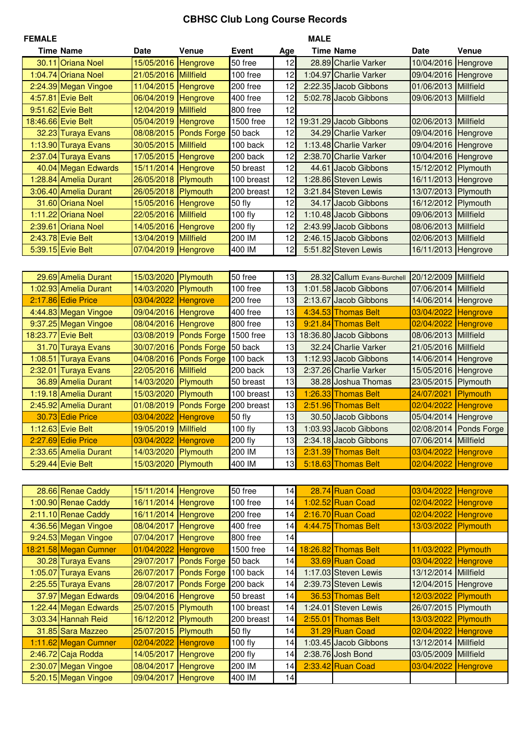## **CBHSC Club Long Course Records**

| <b>FEMALE</b> |                       |                     |                    |            |          | <b>MALE</b> |                             |                      |                      |
|---------------|-----------------------|---------------------|--------------------|------------|----------|-------------|-----------------------------|----------------------|----------------------|
|               | <b>Time Name</b>      | Date                | Venue              | Event      | Age      |             | <b>Time Name</b>            | Date                 | <b>Venue</b>         |
|               | 30.11 Oriana Noel     | 15/05/2016 Hengrove |                    | 50 free    | 12       |             | 28.89 Charlie Varker        | 10/04/2016           | Hengrove             |
|               | 1:04.74 Oriana Noel   | 21/05/2016          | <b>Millfield</b>   | 100 free   | 12       |             | 1:04.97 Charlie Varker      | 09/04/2016           | Hengrove             |
|               | 2:24.39 Megan Vingoe  | 11/04/2015          | Hengrove           | 200 free   | 12       |             | 2:22.35 Jacob Gibbons       | 01/06/2013           | <b>Millfield</b>     |
|               | 4:57.81 Evie Belt     | 06/04/2019          | Hengrove           | 400 free   | 12       |             | 5:02.78 Jacob Gibbons       | 09/06/2013           | <b>Millfield</b>     |
|               | 9:51.62 Evie Belt     | 12/04/2019          | <b>Millfield</b>   | 800 free   | 12       |             |                             |                      |                      |
|               | 18:46.66 Evie Belt    | 05/04/2019          | Hengrove           | 1500 free  | 12       |             | 19:31.29 Jacob Gibbons      | 02/06/2013           | Millfield            |
|               | 32.23 Turaya Evans    | 08/08/2015          | <b>Ponds Forge</b> | 50 back    | 12       |             | 34.29 Charlie Varker        | 09/04/2016           | Hengrove             |
|               | 1:13.90 Turaya Evans  | 30/05/2015          | <b>Millfield</b>   | 100 back   | 12       |             | 1:13.48 Charlie Varker      | 09/04/2016           | Hengrove             |
|               | 2:37.04 Turaya Evans  | 17/05/2015          | Hengrove           | 200 back   | 12       |             | 2:38.70 Charlie Varker      | 10/04/2016           | Hengrove             |
|               | 40.04 Megan Edwards   | 15/11/2014          | Hengrove           | 50 breast  | 12       |             | 44.61 Jacob Gibbons         | 15/12/2012           | Plymouth             |
|               | 1:28.84 Amelia Durant | 26/05/2018          | Plymouth           | 100 breast | 12       |             | 1:28.86 Steven Lewis        | 16/11/2013           | Hengrove             |
|               | 3:06.40 Amelia Durant | 26/05/2018          | Plymouth           | 200 breast | 12       |             | 3:21.84 Steven Lewis        | 13/07/2013           | Plymouth             |
|               | 31.60 Oriana Noel     | 15/05/2016          | Hengrove           | 50 fly     | 12       |             | 34.17 Jacob Gibbons         | 16/12/2012           | Plymouth             |
|               | 1:11.22 Oriana Noel   | 22/05/2016          | <b>Millfield</b>   | 100 fly    | 12       |             | 1:10.48 Jacob Gibbons       | 09/06/2013           | Millfield            |
|               | 2:39.61 Oriana Noel   | 14/05/2016          | Hengrove           | 200 fly    | 12       |             | 2:43.99 Jacob Gibbons       | 08/06/2013           | Millfield            |
|               | 2:43.78 Evie Belt     | 13/04/2019          | <b>Millfield</b>   | 200 IM     | 12       |             | 2:46.15 Jacob Gibbons       | 02/06/2013           | <b>Millfield</b>     |
|               | 5:39.15 Evie Belt     | 07/04/2019          | Hengrove           | 400 IM     | 12       |             | 5:51.82 Steven Lewis        | 16/11/2013           | Hengrove             |
|               |                       |                     |                    |            |          |             |                             |                      |                      |
|               | 29.69 Amelia Durant   | 15/03/2020          | Plymouth           | 50 free    | 13       |             | 28.32 Callum Evans-Burchell | 20/12/2009           | Millfield            |
|               | 1:02.93 Amelia Durant | 14/03/2020          | Plymouth           | 100 free   | 13       |             | 1:01.58 Jacob Gibbons       | 07/06/2014           | <b>Millfield</b>     |
|               | 2:17.86 Edie Price    | 03/04/2022          | <b>Hengrove</b>    | 200 free   | 13       |             | 2:13.67 Jacob Gibbons       | 14/06/2014           | Hengrove             |
|               | 4:44.83 Megan Vingoe  | 09/04/2016          | Hengrove           | 400 free   | 13       |             | 4:34.53 Thomas Belt         | 03/04/2022           | Hengrove             |
|               | 9:37.25 Megan Vingoe  | 08/04/2016          | Hengrove           | 800 free   | 13       |             | 9:21.84 Thomas Belt         | 02/04/2022           | Hengrove             |
| 18:23.77      | <b>Evie Belt</b>      | 03/08/2019          | <b>Ponds Forge</b> | 1500 free  | 13       |             | 18:36.80 Jacob Gibbons      | 08/06/2013           | <b>Millfield</b>     |
|               | 31.70 Turaya Evans    | 30/07/2016          | <b>Ponds Forge</b> | 50 back    | 13       |             | 32.24 Charlie Varker        | 21/05/2016           | <b>Millfield</b>     |
|               | 1:08.51 Turaya Evans  | 04/08/2016          | <b>Ponds Forge</b> | 100 back   | 13       |             | 1:12.93 Jacob Gibbons       | 14/06/2014           | Hengrove             |
| 2:32.01       | <b>Turaya Evans</b>   | 22/05/2016          | <b>Millfield</b>   | 200 back   | 13       |             | 2:37.26 Charlie Varker      | 15/05/2016           | Hengrove             |
|               | 36.89 Amelia Durant   | 14/03/2020          | Plymouth           | 50 breast  | 13       |             | 38.28 Joshua Thomas         | 23/05/2015           | Plymouth             |
|               | 1:19.18 Amelia Durant | 15/03/2020          | Plymouth           | 100 breast | 13       |             | 1:26.33 Thomas Belt         | 24/07/2021           | Plymouth             |
|               | 2:45.92 Amelia Durant | 01/08/2019          | <b>Ponds Forge</b> | 200 breast | 13       |             | 2:51.96 Thomas Belt         | 02/04/2022           | Hengrove             |
|               | 30.73 Edie Price      | 03/04/2022          | <b>Hengrove</b>    | 50 fly     | 13       |             | 30.50 Jacob Gibbons         | 05/04/2014           | Hengrove             |
|               | 1:12.63 Evie Belt     | 19/05/2019          | <b>Millfield</b>   | 100 fly    | 13       |             | 1:03.93 Jacob Gibbons       | 02/08/2014           | <b>Ponds Forge</b>   |
|               | 2:27.69 Edie Price    | 03/04/2022 Hengrove |                    | 200 fly    | 13       |             | 2:34.18 Jacob Gibbons       | 07/06/2014 Millfield |                      |
|               | 2:33.65 Amelia Durant | 14/03/2020          | Plymouth           | 200 IM     | 13       |             | 2:31.39 Thomas Belt         | 03/04/2022           | Hengrove             |
|               | 5:29.44 Evie Belt     | 15/03/2020 Plymouth |                    | 400 IM     | 13       |             | 5:18.63 Thomas Belt         | 02/04/2022           | Hengrove             |
|               |                       |                     |                    |            |          |             |                             |                      |                      |
|               |                       |                     |                    |            |          |             |                             |                      |                      |
|               | 28.66 Renae Caddy     | 15/11/2014 Hengrove |                    | 50 free    | 14       |             | 28.74 Ruan Coad             | 03/04/2022           | Hengrove             |
|               | 1:00.90 Renae Caddy   | 16/11/2014 Hengrove |                    | 100 free   | 14       |             | 1:02.52 Ruan Coad           | 02/04/2022           | Hengrove             |
|               | 2:11.10 Renae Caddy   | 16/11/2014 Hengrove |                    | 200 free   | 14       |             | 2:16.70 Ruan Coad           | 02/04/2022           | Hengrove<br>Plymouth |
|               | 4:36.56 Megan Vingoe  | 08/04/2017 Hengrove |                    | 400 free   | 14<br>14 |             | 4:44.75 Thomas Belt         | 13/03/2022           |                      |
|               | 9:24.53 Megan Vingoe  | 07/04/2017          | <b>Hengrove</b>    | 800 free   |          |             |                             |                      |                      |
|               | 18:21.58 Megan Cumner | 01/04/2022          | <b>Hengrove</b>    | 1500 free  | 14       |             | 18:26.82 Thomas Belt        | 11/03/2022           | Plymouth             |
|               | 30.28 Turaya Evans    | 29/07/2017          | <b>Ponds Forge</b> | 50 back    | 14<br>14 |             | 33.69 Ruan Coad             | 03/04/2022           | Hengrove             |
|               | 1:05.07 Turaya Evans  | 26/07/2017          | <b>Ponds Forge</b> | 100 back   |          |             | 1:17.03 Steven Lewis        | 13/12/2014           | <b>Millfield</b>     |
|               | 2:25.55 Turaya Evans  | 28/07/2017          | <b>Ponds Forge</b> | 200 back   | 14       |             | 2:39.73 Steven Lewis        | 12/04/2015           | Hengrove             |
|               | 37.97 Megan Edwards   | 09/04/2016          | Hengrove           | 50 breast  | 14       |             | 36.53 Thomas Belt           | 12/03/2022           | Plymouth             |
|               | 1:22.44 Megan Edwards | 25/07/2015          | Plymouth           | 100 breast | 14       |             | 1:24.01 Steven Lewis        | 26/07/2015           | Plymouth             |
|               | 3:03.34 Hannah Reid   | 16/12/2012          | Plymouth           | 200 breast | 14       | 2:55.01     | <b>Thomas Belt</b>          | 13/03/2022           | Plymouth             |
|               | 31.85 Sara Mazzeo     | 25/07/2015          | Plymouth           | 50 fly     | 14       |             | 31.29 Ruan Coad             | 02/04/2022           | Hengrove             |
|               | 1:11.62 Megan Cumner  | 02/04/2022          | <b>Hengrove</b>    | 100 fly    | 14       |             | 1:03.45 Jacob Gibbons       | 13/12/2014           | Millfield            |
|               | 2:46.72 Caja Rodda    | 14/05/2017 Hengrove |                    | 200 fly    | 14       |             | 2:38.76 Josh Bond           | 03/05/2009           | Millfield            |
|               | 2:30.07 Megan Vingoe  | 08/04/2017          | Hengrove           | 200 IM     | 14       |             | 2:33.42 Ruan Coad           | 03/04/2022           | Hengrove             |
|               | 5:20.15 Megan Vingoe  | 09/04/2017          | Hengrove           | 400 IM     | 14       |             |                             |                      |                      |